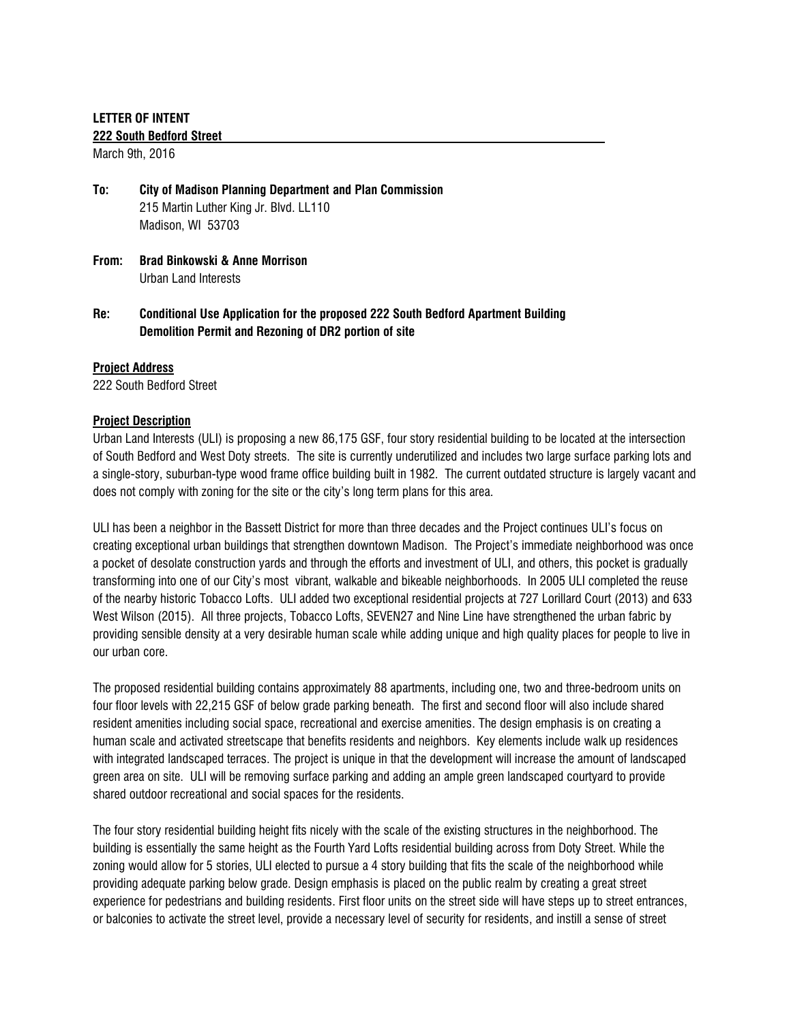# **LETTER OF INTENT**

#### **222 South Bedford Street**

March 9th, 2016

- **To: City of Madison Planning Department and Plan Commission** 215 Martin Luther King Jr. Blvd. LL110 Madison, WI 53703
- **From: Brad Binkowski & Anne Morrison** Urban Land Interests
- **Re: Conditional Use Application for the proposed 222 South Bedford Apartment Building Demolition Permit and Rezoning of DR2 portion of site**

# **Project Address**

222 South Bedford Street

# **Project Description**

Urban Land Interests (ULI) is proposing a new 86,175 GSF, four story residential building to be located at the intersection of South Bedford and West Doty streets. The site is currently underutilized and includes two large surface parking lots and a single-story, suburban-type wood frame office building built in 1982. The current outdated structure is largely vacant and does not comply with zoning for the site or the city's long term plans for this area.

ULI has been a neighbor in the Bassett District for more than three decades and the Project continues ULI's focus on creating exceptional urban buildings that strengthen downtown Madison. The Project's immediate neighborhood was once a pocket of desolate construction vards and through the efforts and investment of ULI, and others, this pocket is gradually transforming into one of our City's most vibrant, walkable and bikeable neighborhoods. In 2005 ULI completed the reuse of the nearby historic Tobacco Lofts. ULI added two exceptional residential projects at 727 Lorillard Court (2013) and 633 West Wilson (2015). All three projects, Tobacco Lofts, SEVEN27 and Nine Line have strengthened the urban fabric by providing sensible density at a very desirable human scale while adding unique and high quality places for people to live in our urban core.

The proposed residential building contains approximately 88 apartments, including one, two and three-bedroom units on four floor levels with 22,215 GSF of below grade parking beneath. The first and second floor will also include shared resident amenities including social space, recreational and exercise amenities. The design emphasis is on creating a human scale and activated streetscape that benefits residents and neighbors. Key elements include walk up residences with integrated landscaped terraces. The project is unique in that the development will increase the amount of landscaped green area on site. ULI will be removing surface parking and adding an ample green landscaped courtyard to provide shared outdoor recreational and social spaces for the residents.

The four story residential building height fits nicely with the scale of the existing structures in the neighborhood. The building is essentially the same height as the Fourth Yard Lofts residential building across from Doty Street. While the zoning would allow for 5 stories, ULI elected to pursue a 4 story building that fits the scale of the neighborhood while providing adequate parking below grade. Design emphasis is placed on the public realm by creating a great street experience for pedestrians and building residents. First floor units on the street side will have steps up to street entrances, or balconies to activate the street level, provide a necessary level of security for residents, and instill a sense of street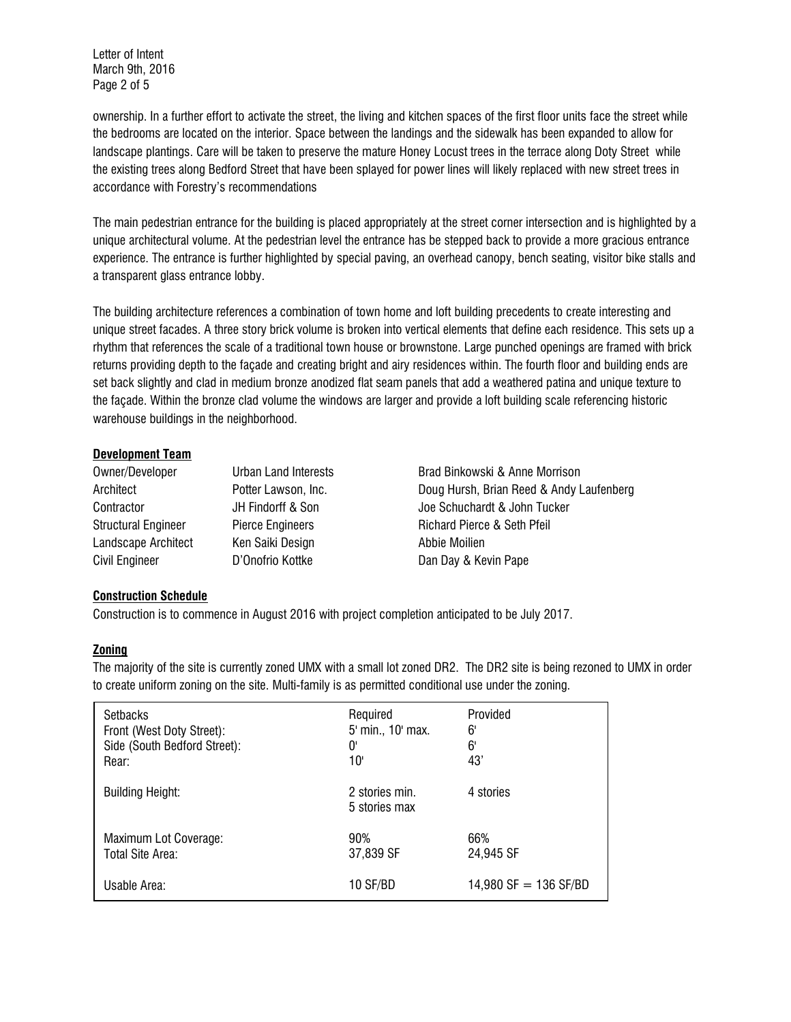Letter of Intent March 9th, 2016 Page 2 of 5

ownership. In a further effort to activate the street, the living and kitchen spaces of the first floor units face the street while the bedrooms are located on the interior. Space between the landings and the sidewalk has been expanded to allow for landscape plantings. Care will be taken to preserve the mature Honey Locust trees in the terrace along Doty Street while the existing trees along Bedford Street that have been splayed for power lines will likely replaced with new street trees in accordance with Forestry's recommendations

The main pedestrian entrance for the building is placed appropriately at the street corner intersection and is highlighted by a unique architectural volume. At the pedestrian level the entrance has be stepped back to provide a more gracious entrance experience. The entrance is further highlighted by special paving, an overhead canopy, bench seating, visitor bike stalls and a transparent glass entrance lobby.

The building architecture references a combination of town home and loft building precedents to create interesting and unique street facades. A three story brick volume is broken into vertical elements that define each residence. This sets up a rhythm that references the scale of a traditional town house or brownstone. Large punched openings are framed with brick returns providing depth to the façade and creating bright and airy residences within. The fourth floor and building ends are set back slightly and clad in medium bronze anodized flat seam panels that add a weathered patina and unique texture to the façade. Within the bronze clad volume the windows are larger and provide a loft building scale referencing historic warehouse buildings in the neighborhood.

# **Development Team**

| Owner/Developer            | Urban Land Interests    | Brad Binkowski & Anne Morrison           |  |
|----------------------------|-------------------------|------------------------------------------|--|
| Architect                  | Potter Lawson, Inc.     | Doug Hursh, Brian Reed & Andy Laufenberg |  |
| Contractor                 | JH Findorff & Son       | Joe Schuchardt & John Tucker             |  |
| <b>Structural Engineer</b> | <b>Pierce Engineers</b> | <b>Richard Pierce &amp; Seth Pfeil</b>   |  |
| Landscape Architect        | Ken Saiki Design        | Abbie Moilien                            |  |
| <b>Civil Engineer</b>      | D'Onofrio Kottke        | Dan Day & Kevin Pape                     |  |

# **Construction Schedule**

Construction is to commence in August 2016 with project completion anticipated to be July 2017.

#### **Zoning**

The majority of the site is currently zoned UMX with a small lot zoned DR2. The DR2 site is being rezoned to UMX in order to create uniform zoning on the site. Multi-family is as permitted conditional use under the zoning.

| <b>Setbacks</b>              | Required                        | Provided              |
|------------------------------|---------------------------------|-----------------------|
| Front (West Doty Street):    | 5' min., 10' max.               | 6'                    |
| Side (South Bedford Street): | 0'                              | 6'                    |
| Rear:                        | 10'                             | 43'                   |
| <b>Building Height:</b>      | 2 stories min.<br>5 stories max | 4 stories             |
| Maximum Lot Coverage:        | 90%                             | 66%                   |
| Total Site Area:             | 37,839 SF                       | 24,945 SF             |
| Usable Area:                 | 10 SF/BD                        | 14,980 SF = 136 SF/BD |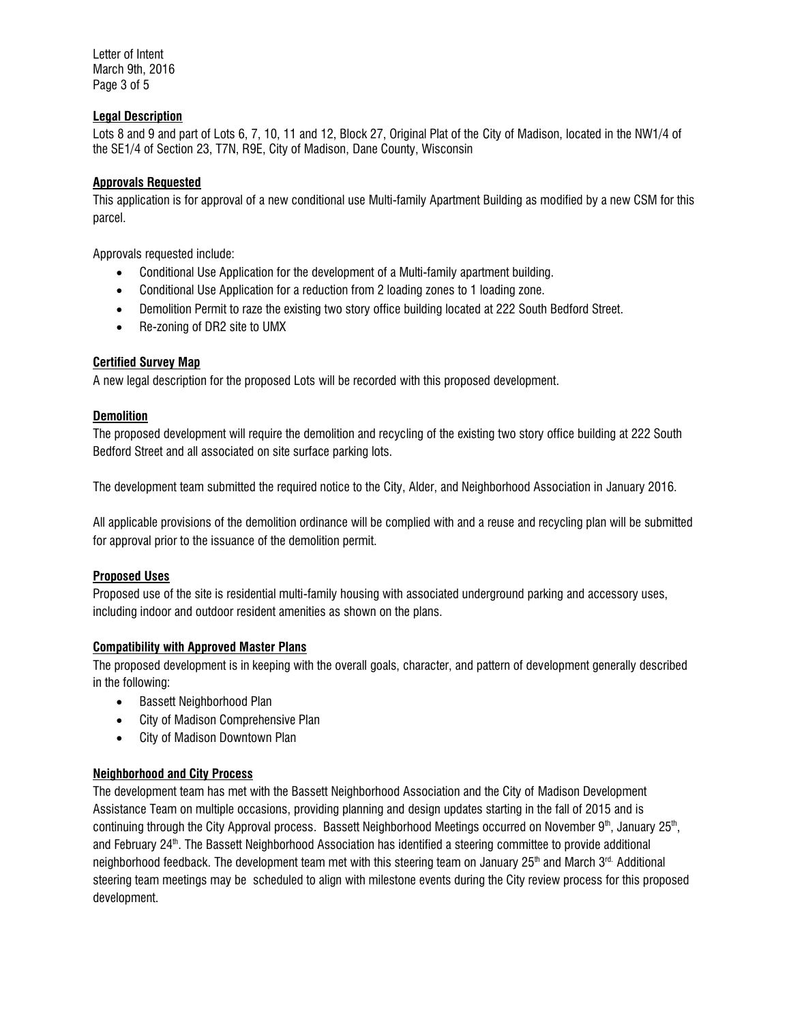Letter of Intent March 9th, 2016 Page 3 of 5

# **Legal Description**

Lots 8 and 9 and part of Lots 6, 7, 10, 11 and 12, Block 27, Original Plat of the City of Madison, located in the NW1/4 of the SE1/4 of Section 23, T7N, R9E, City of Madison, Dane County, Wisconsin

### **Approvals Requested**

This application is for approval of a new conditional use Multi-family Apartment Building as modified by a new CSM for this parcel.

Approvals requested include:

- Conditional Use Application for the development of a Multi-family apartment building.
- Conditional Use Application for a reduction from 2 loading zones to 1 loading zone.
- Demolition Permit to raze the existing two story office building located at 222 South Bedford Street.
- Re-zoning of DR2 site to UMX

# **Certified Survey Map**

A new legal description for the proposed Lots will be recorded with this proposed development.

### **Demolition**

The proposed development will require the demolition and recycling of the existing two story office building at 222 South Bedford Street and all associated on site surface parking lots.

The development team submitted the required notice to the City, Alder, and Neighborhood Association in January 2016.

All applicable provisions of the demolition ordinance will be complied with and a reuse and recycling plan will be submitted for approval prior to the issuance of the demolition permit.

#### **Proposed Uses**

Proposed use of the site is residential multi-family housing with associated underground parking and accessory uses, including indoor and outdoor resident amenities as shown on the plans.

#### **Compatibility with Approved Master Plans**

The proposed development is in keeping with the overall goals, character, and pattern of development generally described in the following:

- Bassett Neighborhood Plan
- City of Madison Comprehensive Plan
- City of Madison Downtown Plan

# **Neighborhood and City Process**

The development team has met with the Bassett Neighborhood Association and the City of Madison Development Assistance Team on multiple occasions, providing planning and design updates starting in the fall of 2015 and is continuing through the City Approval process. Bassett Neighborhood Meetings occurred on November 9<sup>th</sup>, January 25<sup>th</sup>, and February 24<sup>th</sup>. The Bassett Neighborhood Association has identified a steering committee to provide additional neighborhood feedback. The development team met with this steering team on January 25<sup>th</sup> and March 3<sup>rd.</sup> Additional steering team meetings may be scheduled to align with milestone events during the City review process for this proposed development.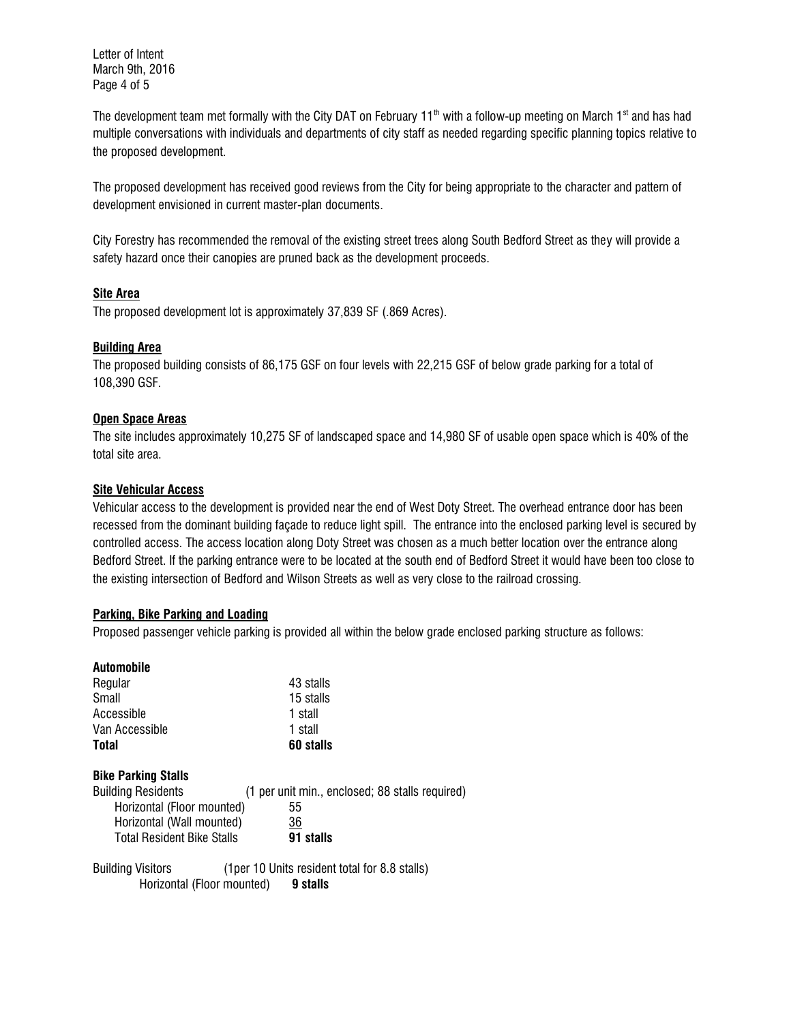Letter of Intent March 9th, 2016 Page 4 of 5

The development team met formally with the City DAT on February 11<sup>th</sup> with a follow-up meeting on March 1<sup>st</sup> and has had multiple conversations with individuals and departments of city staff as needed regarding specific planning topics relative to the proposed development.

The proposed development has received good reviews from the City for being appropriate to the character and pattern of development envisioned in current master-plan documents.

City Forestry has recommended the removal of the existing street trees along South Bedford Street as they will provide a safety hazard once their canopies are pruned back as the development proceeds.

# **Site Area**

The proposed development lot is approximately 37,839 SF (.869 Acres).

### **Building Area**

The proposed building consists of 86,175 GSF on four levels with 22,215 GSF of below grade parking for a total of 108,390 GSF.

### **Open Space Areas**

The site includes approximately 10,275 SF of landscaped space and 14,980 SF of usable open space which is 40% of the total site area.

### **Site Vehicular Access**

Vehicular access to the development is provided near the end of West Doty Street. The overhead entrance door has been recessed from the dominant building façade to reduce light spill. The entrance into the enclosed parking level is secured by controlled access. The access location along Doty Street was chosen as a much better location over the entrance along Bedford Street. If the parking entrance were to be located at the south end of Bedford Street it would have been too close to the existing intersection of Bedford and Wilson Streets as well as very close to the railroad crossing.

# **Parking, Bike Parking and Loading**

Proposed passenger vehicle parking is provided all within the below grade enclosed parking structure as follows:

| <b>Automobile</b>                 |                                                 |
|-----------------------------------|-------------------------------------------------|
| Regular                           | 43 stalls                                       |
| Small                             | 15 stalls                                       |
| Accessible                        | 1 stall                                         |
| Van Accessible                    | 1 stall                                         |
| <b>Total</b>                      | 60 stalls                                       |
| <b>Bike Parking Stalls</b>        |                                                 |
| <b>Building Residents</b>         | (1 per unit min., enclosed; 88 stalls required) |
| Horizontal (Floor mounted)        | 55                                              |
| Horizontal (Wall mounted)         | 36                                              |
| <b>Total Resident Bike Stalls</b> | 91 stalls                                       |

Building Visitors (1per 10 Units resident total for 8.8 stalls) Horizontal (Floor mounted) **9 stalls**